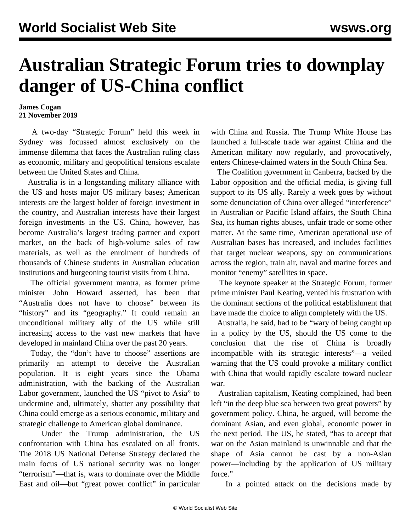## **Australian Strategic Forum tries to downplay danger of US-China conflict**

## **James Cogan 21 November 2019**

 A two-day "Strategic Forum" held this week in Sydney was focussed almost exclusively on the immense dilemma that faces the Australian ruling class as economic, military and geopolitical tensions escalate between the United States and China.

 Australia is in a longstanding military alliance with the US and hosts major US military bases; American interests are the largest holder of foreign investment in the country, and Australian interests have their largest foreign investments in the US. China, however, has become Australia's largest trading partner and export market, on the back of high-volume sales of raw materials, as well as the enrolment of hundreds of thousands of Chinese students in Australian education institutions and burgeoning tourist visits from China.

 The official government mantra, as former prime minister John Howard asserted, has been that "Australia does not have to choose" between its "history" and its "geography." It could remain an unconditional military ally of the US while still increasing access to the vast new markets that have developed in mainland China over the past 20 years.

 Today, the "don't have to choose" assertions are primarily an attempt to deceive the Australian population. It is eight years since the Obama administration, with the backing of the Australian Labor government, launched the US "pivot to Asia" to undermine and, ultimately, shatter any possibility that China could emerge as a serious economic, military and strategic challenge to American global dominance.

 Under the Trump administration, the US confrontation with China has escalated on all fronts. The 2018 US National Defense Strategy declared the main focus of US national security was no longer "terrorism"—that is, wars to dominate over the Middle East and oil—but "great power conflict" in particular with China and Russia. The Trump White House has launched a full-scale trade war against China and the American military now regularly, and provocatively, enters Chinese-claimed waters in the South China Sea.

 The Coalition government in Canberra, backed by the Labor opposition and the official media, is giving full support to its US ally. Rarely a week goes by without some denunciation of China over alleged "interference" in Australian or Pacific Island affairs, the South China Sea, its human rights abuses, unfair trade or some other matter. At the same time, American operational use of Australian bases has increased, and includes facilities that target nuclear weapons, spy on communications across the region, train air, naval and marine forces and monitor "enemy" satellites in space.

 The keynote speaker at the Strategic Forum, former prime minister Paul Keating, vented his frustration with the dominant sections of the political establishment that have made the choice to align completely with the US.

 Australia, he said, had to be "wary of being caught up in a policy by the US, should the US come to the conclusion that the rise of China is broadly incompatible with its strategic interests"—a veiled warning that the US could provoke a military conflict with China that would rapidly escalate toward nuclear war.

 Australian capitalism, Keating complained, had been left "in the deep blue sea between two great powers" by government policy. China, he argued, will become the dominant Asian, and even global, economic power in the next period. The US, he stated, "has to accept that war on the Asian mainland is unwinnable and that the shape of Asia cannot be cast by a non-Asian power—including by the application of US military force."

In a pointed attack on the decisions made by